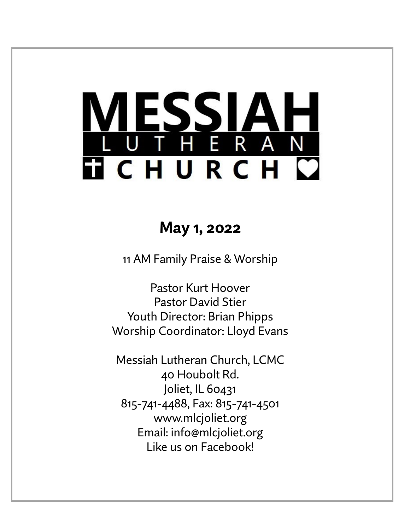# ESSIAH<br>The Ran **TICHURCH C**

## **May 1, 2022**

11 AM Family Praise & Worship

Pastor Kurt Hoover Pastor David Stier Youth Director: Brian Phipps Worship Coordinator: Lloyd Evans

Messiah Lutheran Church, LCMC 40 Houbolt Rd. Joliet, IL 60431 815-741-4488, Fax: 815-741-4501 www.mlcjoliet.org Email: info@mlcjoliet.org Like us on Facebook!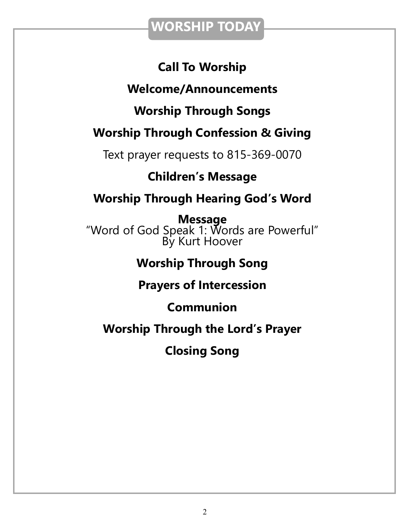## **WORSHIP TODAY**

## **Call To Worship**

## **Welcome/Announcements**

## **Worship Through Songs**

## **Worship Through Confession & Giving**

Text prayer requests to 815-369-0070

## **Children's Message**

## **Worship Through Hearing God's Word**

**Message** "Word of God Speak 1: Words are Powerful" By Kurt Hoover

## **Worship Through Song**

## **Prayers of Intercession**

## **Communion**

## **Worship Through the Lord's Prayer**

## **Closing Song**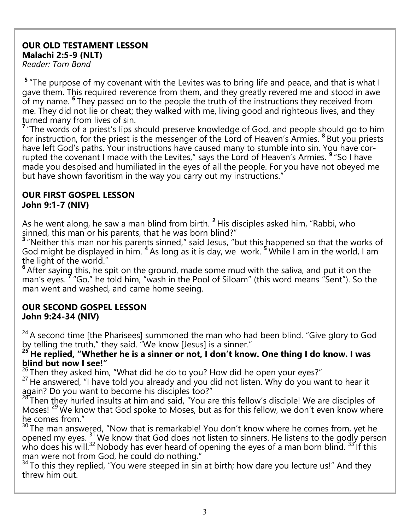#### **OUR OLD TESTAMENT LESSON Malachi 2:5-9 (NLT)**

*Reader: Tom Bond*

<sup>5</sup> "The purpose of my covenant with the Levites was to bring life and peace, and that is what I gave them. This required reverence from them, and they greatly revered me and stood in awe of my name. **<sup>6</sup>** They passed on to the people the truth of the instructions they received from me. They did not lie or cheat; they walked with me, living good and righteous lives, and they turned many from lives of sin.

<sup>7</sup> "The words of a priest's lips should preserve knowledge of God, and people should go to him for instruction, for the priest is the messenger of the Lord of Heaven's Armies. <sup>8</sup> But you priests have left God's paths. Your instructions have caused many to stumble into sin. You have corrupted the covenant I made with the Levites," says the Lord of Heaven's Armies. **<sup>9</sup>** "So I have made you despised and humiliated in the eyes of all the people. For you have not obeyed me but have shown favoritism in the way you carry out my instructions."

#### **OUR FIRST GOSPEL LESSON John 9:1-7 (NIV)**

As he went along, he saw a man blind from birth. **<sup>2</sup>** His disciples asked him, "Rabbi, who sinned, this man or his parents, that he was born blind?"

<sup>3</sup> "Neither this man nor his parents sinned," said Jesus, "but this happened so that the works of God might be displayed in him. **<sup>4</sup>** As long as it is day, we work. **<sup>5</sup>** While I am in the world, I am the light of the world."

**<sup>6</sup>** After saying this, he spit on the ground, made some mud with the saliva, and put it on the man's eyes. **<sup>7</sup>** "Go," he told him, "wash in the Pool of Siloam" (this word means "Sent"). So the man went and washed, and came home seeing.

#### **OUR SECOND GOSPEL LESSON John 9:24-34 (NIV)**

 $24$  A second time [the Pharisees] summoned the man who had been blind. "Give glory to God by telling the truth," they said. "We know [Jesus] is a sinner."

**<sup>25</sup> He replied, "Whether he is a sinner or not, I don't know. One thing I do know. I was blind but now I see!"**

 $26$  Then they asked him, "What did he do to you? How did he open your eyes?"

<sup>27</sup> He answered, "I have told you already and you did not listen. Why do you want to hear it again? Do you want to become his disciples too?"

28 Then they hurled insults at him and said, "You are this fellow's disciple! We are disciples of Moses!  $^{29}$  We know that God spoke to Moses, but as for this fellow, we don't even know where he comes from."

<sup>30</sup> The man answered, "Now that is remarkable! You don't know where he comes from, yet he opened my eyes.<sup>31</sup> We know that God does not listen to sinners. He listens to the godly person who does his will.<sup>32</sup> Nobody has ever heard of opening the eyes of a man born blind.  $33'$  If this man were not from God, he could do nothing."

 $34$  To this they replied, "You were steeped in sin at birth; how dare you lecture us!" And they threw him out.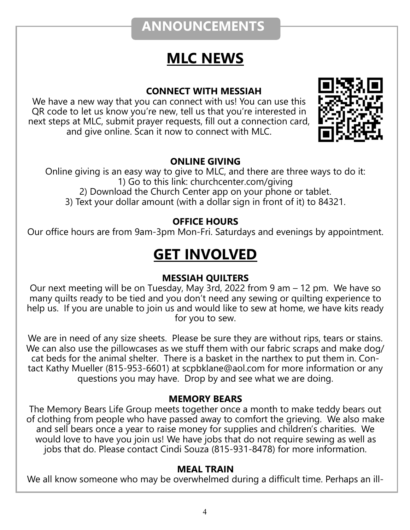## **ANNOUNCEMENTS**

## **MLC NEWS**

#### **CONNECT WITH MESSIAH**

We have a new way that you can connect with us! You can use this QR code to let us know you're new, tell us that you're interested in next steps at MLC, submit prayer requests, fill out a connection card, and give online. Scan it now to connect with MLC.



#### **ONLINE GIVING**

Online giving is an easy way to give to MLC, and there are three ways to do it: 1) Go to this link: churchcenter.com/giving 2) Download the Church Center app on your phone or tablet. 3) Text your dollar amount (with a dollar sign in front of it) to 84321.

#### **OFFICE HOURS**

Our office hours are from 9am-3pm Mon-Fri. Saturdays and evenings by appointment.

## **GET INVOLVED**

#### **MESSIAH QUILTERS**

Our next meeting will be on Tuesday, May 3rd, 2022 from 9 am – 12 pm. We have so many quilts ready to be tied and you don't need any sewing or quilting experience to help us. If you are unable to join us and would like to sew at home, we have kits ready for you to sew.

We are in need of any size sheets. Please be sure they are without rips, tears or stains. We can also use the pillowcases as we stuff them with our fabric scraps and make dog/ cat beds for the animal shelter. There is a basket in the narthex to put them in. Contact Kathy Mueller (815-953-6601) at scpbklane@aol.com for more information or any questions you may have. Drop by and see what we are doing.

#### **MEMORY BEARS**

The Memory Bears Life Group meets together once a month to make teddy bears out of clothing from people who have passed away to comfort the grieving. We also make and sell bears once a year to raise money for supplies and children's charities. We would love to have you join us! We have jobs that do not require sewing as well as jobs that do. Please contact Cindi Souza (815-931-8478) for more information.

#### **MEAL TRAIN**

We all know someone who may be overwhelmed during a difficult time. Perhaps an ill-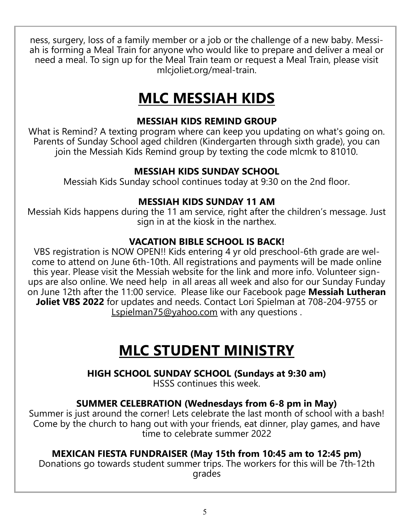ness, surgery, loss of a family member or a job or the challenge of a new baby. Messiah is forming a Meal Train for anyone who would like to prepare and deliver a meal or need a meal. To sign up for the Meal Train team or request a Meal Train, please visit mlcjoliet.org/meal-train.

## **MLC MESSIAH KIDS**

#### **MESSIAH KIDS REMIND GROUP**

What is Remind? A texting program where can keep you updating on what's going on. Parents of Sunday School aged children (Kindergarten through sixth grade), you can join the Messiah Kids Remind group by texting the code mlcmk to 81010.

#### **MESSIAH KIDS SUNDAY SCHOOL**

Messiah Kids Sunday school continues today at 9:30 on the 2nd floor.

#### **MESSIAH KIDS SUNDAY 11 AM**

Messiah Kids happens during the 11 am service, right after the children's message. Just sign in at the kiosk in the narthex.

#### **VACATION BIBLE SCHOOL IS BACK!**

VBS registration is NOW OPEN!! Kids entering 4 yr old preschool-6th grade are welcome to attend on June 6th-10th. All registrations and payments will be made online this year. Please visit the Messiah website for the link and more info. Volunteer signups are also online. We need help in all areas all week and also for our Sunday Funday on June 12th after the 11:00 service. Please like our Facebook page **Messiah Lutheran Joliet VBS 2022** for updates and needs. Contact Lori Spielman at 708-204-9755 or [Lspielman75@yahoo.com](mailto:Lspielman75@yahoo.com) with any questions.

## **MLC STUDENT MINISTRY**

**HIGH SCHOOL SUNDAY SCHOOL (Sundays at 9:30 am)** HSSS continues this week.

#### **SUMMER CELEBRATION (Wednesdays from 6-8 pm in May)**

Summer is just around the corner! Lets celebrate the last month of school with a bash! Come by the church to hang out with your friends, eat dinner, play games, and have time to celebrate summer 2022

#### **MEXICAN FIESTA FUNDRAISER (May 15th from 10:45 am to 12:45 pm)**

Donations go towards student summer trips. The workers for this will be 7th-12th grades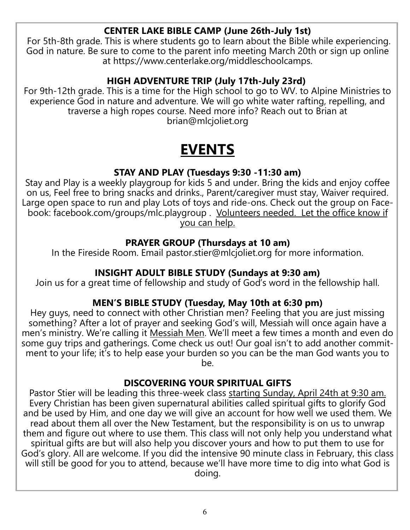#### **CENTER LAKE BIBLE CAMP (June 26th-July 1st)**

For 5th-8th grade. This is where students go to learn about the Bible while experiencing. God in nature. Be sure to come to the parent info meeting March 20th or sign up online at https://www.centerlake.org/middleschoolcamps.

#### **HIGH ADVENTURE TRIP (July 17th-July 23rd)**

For 9th-12th grade. This is a time for the High school to go to WV. to Alpine Ministries to experience God in nature and adventure. We will go white water rafting, repelling, and traverse a high ropes course. Need more info? Reach out to Brian at brian@mlcjoliet.org

## **EVENTS**

#### **STAY AND PLAY (Tuesdays 9:30 -11:30 am)**

Stay and Play is a weekly playgroup for kids 5 and under. Bring the kids and enjoy coffee on us, Feel free to bring snacks and drinks., Parent/caregiver must stay, Waiver required. Large open space to run and play Lots of toys and ride-ons. Check out the group on Facebook: facebook.com/groups/mlc.playgroup . Volunteers needed. Let the office know if you can help.

#### **PRAYER GROUP (Thursdays at 10 am)**

In the Fireside Room. Email pastor.stier@mlcjoliet.org for more information.

#### **INSIGHT ADULT BIBLE STUDY (Sundays at 9:30 am)**

Join us for a great time of fellowship and study of God's word in the fellowship hall.

#### **MEN'S BIBLE STUDY (Tuesday, May 10th at 6:30 pm)**

Hey guys, need to connect with other Christian men? Feeling that you are just missing something? After a lot of prayer and seeking God's will, Messiah will once again have a men's ministry. We're calling it Messiah Men. We'll meet a few times a month and even do some guy trips and gatherings. Come check us out! Our goal isn't to add another commitment to your life; it's to help ease your burden so you can be the man God wants you to be.

#### **DISCOVERING YOUR SPIRITUAL GIFTS**

Pastor Stier will be leading this three-week class starting Sunday, April 24th at 9:30 am. Every Christian has been given supernatural abilities called spiritual gifts to glorify God and be used by Him, and one day we will give an account for how well we used them. We read about them all over the New Testament, but the responsibility is on us to unwrap them and figure out where to use them. This class will not only help you understand what spiritual gifts are but will also help you discover yours and how to put them to use for God's glory. All are welcome. If you did the intensive 90 minute class in February, this class will still be good for you to attend, because we'll have more time to dig into what God is doing.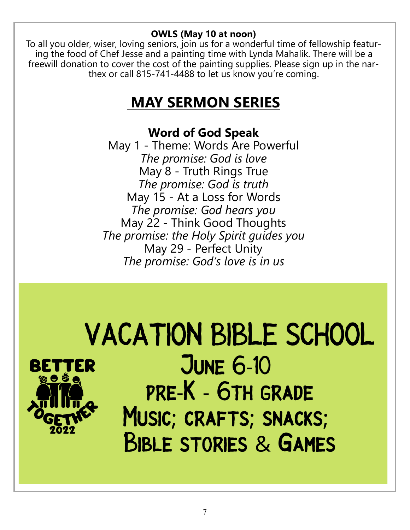#### **OWLS (May 10 at noon)**

To all you older, wiser, loving seniors, join us for a wonderful time of fellowship featuring the food of Chef Jesse and a painting time with Lynda Mahalik. There will be a freewill donation to cover the cost of the painting supplies. Please sign up in the narthex or call 815-741-4488 to let us know you're coming.

## **MAY SERMON SERIES**

#### **Word of God Speak**

May 1 - Theme: Words Are Powerful *The promise: God is love* May 8 - Truth Rings True *The promise: God is truth* May 15 - At a Loss for Words *The promise: God hears you* May 22 - Think Good Thoughts *The promise: the Holy Spirit guides you* May 29 - Perfect Unity *The promise: God's love is in us*

## **VACATION BIBLE SCHOOL JUNE 6-10** PRE-K - 6TH GRADE MUSIC; CRAFTS; SNACKS; **BIBLE STORIES & GAMES**